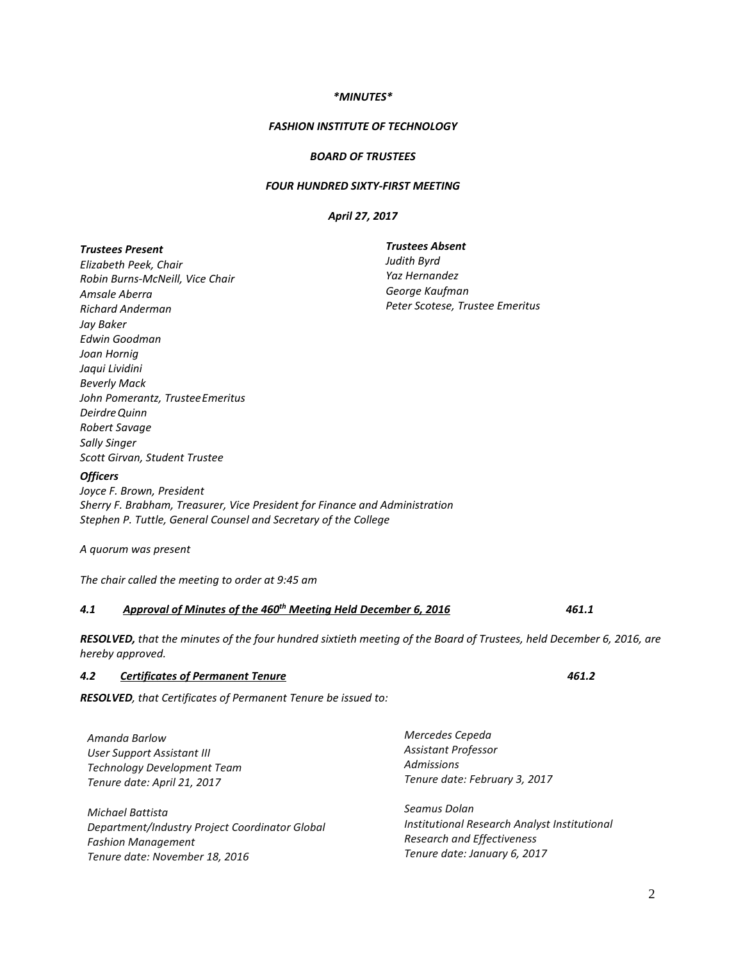# *\*MINUTES\**

#### *FASHION INSTITUTE OF TECHNOLOGY*

#### *BOARD OF TRUSTEES*

#### *FOUR HUNDRED SIXTY-FIRST MEETING*

# *April 27, 2017*

| <b>Trustees Present</b>                                                           | <b>Trustees Absent</b>          |  |
|-----------------------------------------------------------------------------------|---------------------------------|--|
| Elizabeth Peek, Chair                                                             | Judith Byrd                     |  |
| Robin Burns-McNeill, Vice Chair                                                   | Yaz Hernandez                   |  |
| Amsale Aberra                                                                     | George Kaufman                  |  |
| <b>Richard Anderman</b>                                                           | Peter Scotese, Trustee Emeritus |  |
| Jay Baker                                                                         |                                 |  |
| Edwin Goodman                                                                     |                                 |  |
| Joan Hornig                                                                       |                                 |  |
| Jaqui Lividini                                                                    |                                 |  |
| <b>Beverly Mack</b>                                                               |                                 |  |
| John Pomerantz, Trustee Emeritus                                                  |                                 |  |
| Deirdre Quinn                                                                     |                                 |  |
| Robert Savage                                                                     |                                 |  |
| <b>Sally Singer</b>                                                               |                                 |  |
| Scott Girvan, Student Trustee                                                     |                                 |  |
| <b>Officers</b>                                                                   |                                 |  |
| Joyce F. Brown, President                                                         |                                 |  |
| Sherry F. Brabham, Treasurer, Vice President for Finance and Administration       |                                 |  |
| Stephen P. Tuttle, General Counsel and Secretary of the College                   |                                 |  |
| A quorum was present                                                              |                                 |  |
| The chair called the meeting to order at 9:45 am                                  |                                 |  |
| Approval of Minutes of the 460 <sup>th</sup> Meeting Held December 6, 2016<br>4.1 | 461.1                           |  |

*RESOLVED, that the minutes of the four hundred sixtieth meeting of the Board of Trustees, held December 6, 2016, are hereby approved.*

# *4.2 Certificates of Permanent Tenure 461.2*

*RESOLVED, that Certificates of Permanent Tenure be issued to:*

| Amanda Barlow                                  | Mercedes Cepeda                              |
|------------------------------------------------|----------------------------------------------|
| User Support Assistant III                     | Assistant Professor                          |
| <b>Technology Development Team</b>             | <b>Admissions</b>                            |
| Tenure date: April 21, 2017                    | Tenure date: February 3, 2017                |
| Michael Battista                               | Seamus Dolan                                 |
| Department/Industry Project Coordinator Global | Institutional Research Analyst Institutional |
| <b>Fashion Management</b>                      | <b>Research and Effectiveness</b>            |
| Tenure date: November 18, 2016                 | Tenure date: January 6, 2017                 |